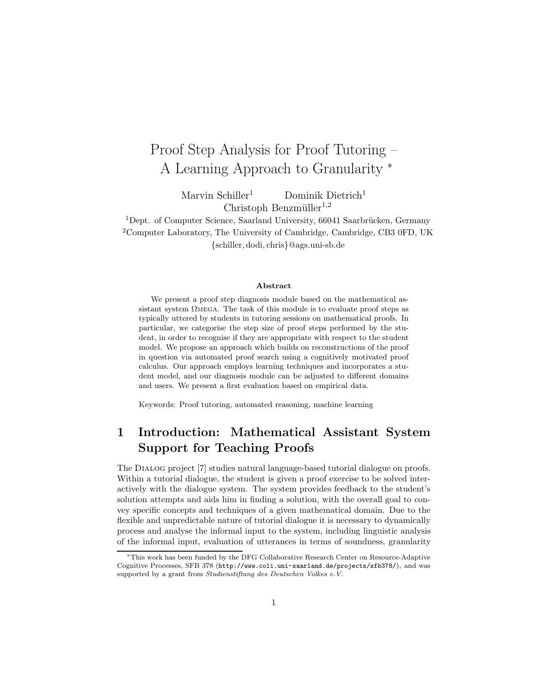# Proof Step Analysis for Proof Tutoring – A Learning Approach to Granularity <sup>∗</sup>

Marvin Schiller<sup>1</sup> Dominik Dietrich<sup>1</sup> Christoph Benzmüller<sup>1,2</sup>

 $1$ Dept. of Computer Science, Saarland University, 66041 Saarbrücken, Germany <sup>2</sup>Computer Laboratory, The University of Cambridge, Cambridge, CB3 0FD, UK {schiller, dodi, chris}@ags.uni-sb.de

#### Abstract

We present a proof step diagnosis module based on the mathematical assistant system  $\Omega$ MEGA. The task of this module is to evaluate proof steps as typically uttered by students in tutoring sessions on mathematical proofs. In particular, we categorise the step size of proof steps performed by the student, in order to recognise if they are appropriate with respect to the student model. We propose an approach which builds on reconstructions of the proof in question via automated proof search using a cognitively motivated proof calculus. Our approach employs learning techniques and incorporates a student model, and our diagnosis module can be adjusted to different domains and users. We present a first evaluation based on empirical data.

Keywords: Proof tutoring, automated reasoning, machine learning

## 1 Introduction: Mathematical Assistant System Support for Teaching Proofs

The Dialog project [7] studies natural language-based tutorial dialogue on proofs. Within a tutorial dialogue, the student is given a proof exercise to be solved interactively with the dialogue system. The system provides feedback to the student's solution attempts and aids him in finding a solution, with the overall goal to convey specific concepts and techniques of a given mathematical domain. Due to the flexible and unpredictable nature of tutorial dialogue it is necessary to dynamically process and analyse the informal input to the system, including linguistic analysis of the informal input, evaluation of utterances in terms of soundness, granularity

<sup>∗</sup>This work has been funded by the DFG Collaborative Research Center on Resource-Adaptive Cognitive Processes, SFB 378 (http://www.coli.uni-saarland.de/projects/sfb378/), and was supported by a grant from Studienstiftung des Deutschen Volkes e.V.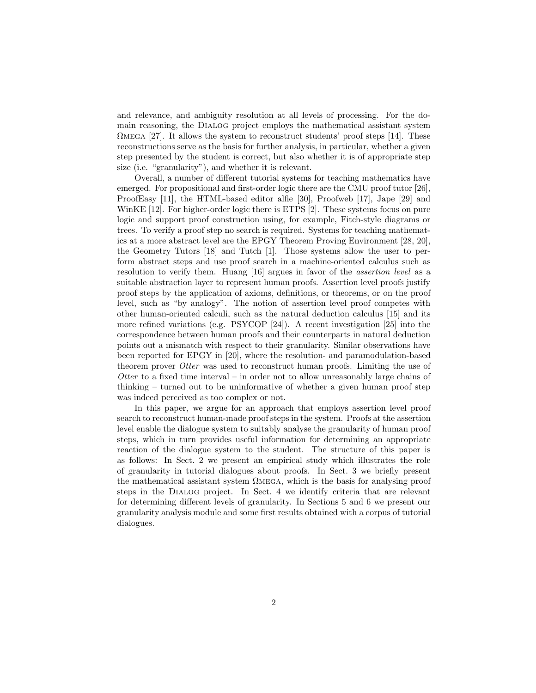and relevance, and ambiguity resolution at all levels of processing. For the domain reasoning, the Dialog project employs the mathematical assistant system  $\Omega$ MEGA [27]. It allows the system to reconstruct students' proof steps [14]. These reconstructions serve as the basis for further analysis, in particular, whether a given step presented by the student is correct, but also whether it is of appropriate step size (i.e. "granularity"), and whether it is relevant.

Overall, a number of different tutorial systems for teaching mathematics have emerged. For propositional and first-order logic there are the CMU proof tutor [26], ProofEasy [11], the HTML-based editor alfie [30], Proofweb [17], Jape [29] and WinKE [12]. For higher-order logic there is ETPS [2]. These systems focus on pure logic and support proof construction using, for example, Fitch-style diagrams or trees. To verify a proof step no search is required. Systems for teaching mathematics at a more abstract level are the EPGY Theorem Proving Environment [28, 20], the Geometry Tutors [18] and Tutch [1]. Those systems allow the user to perform abstract steps and use proof search in a machine-oriented calculus such as resolution to verify them. Huang [16] argues in favor of the assertion level as a suitable abstraction layer to represent human proofs. Assertion level proofs justify proof steps by the application of axioms, definitions, or theorems, or on the proof level, such as "by analogy". The notion of assertion level proof competes with other human-oriented calculi, such as the natural deduction calculus [15] and its more refined variations (e.g. PSYCOP [24]). A recent investigation [25] into the correspondence between human proofs and their counterparts in natural deduction points out a mismatch with respect to their granularity. Similar observations have been reported for EPGY in [20], where the resolution- and paramodulation-based theorem prover *Otter* was used to reconstruct human proofs. Limiting the use of Otter to a fixed time interval – in order not to allow unreasonably large chains of thinking – turned out to be uninformative of whether a given human proof step was indeed perceived as too complex or not.

In this paper, we argue for an approach that employs assertion level proof search to reconstruct human-made proof steps in the system. Proofs at the assertion level enable the dialogue system to suitably analyse the granularity of human proof steps, which in turn provides useful information for determining an appropriate reaction of the dialogue system to the student. The structure of this paper is as follows: In Sect. 2 we present an empirical study which illustrates the role of granularity in tutorial dialogues about proofs. In Sect. 3 we briefly present the mathematical assistant system  $\Omega$ MEGA, which is the basis for analysing proof steps in the Dialog project. In Sect. 4 we identify criteria that are relevant for determining different levels of granularity. In Sections 5 and 6 we present our granularity analysis module and some first results obtained with a corpus of tutorial dialogues.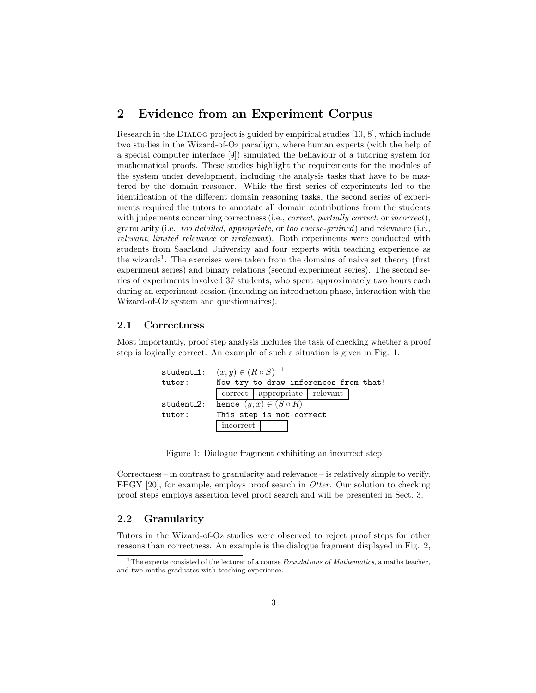### 2 Evidence from an Experiment Corpus

Research in the Dialog project is guided by empirical studies [10, 8], which include two studies in the Wizard-of-Oz paradigm, where human experts (with the help of a special computer interface [9]) simulated the behaviour of a tutoring system for mathematical proofs. These studies highlight the requirements for the modules of the system under development, including the analysis tasks that have to be mastered by the domain reasoner. While the first series of experiments led to the identification of the different domain reasoning tasks, the second series of experiments required the tutors to annotate all domain contributions from the students with judgements concerning correctness (i.e., *correct, partially correct*, or *incorrect*), granularity (i.e., too detailed, appropriate, or too coarse-grained) and relevance (i.e., relevant, limited relevance or irrelevant). Both experiments were conducted with students from Saarland University and four experts with teaching experience as the wizards<sup>1</sup>. The exercises were taken from the domains of naive set theory (first experiment series) and binary relations (second experiment series). The second series of experiments involved 37 students, who spent approximately two hours each during an experiment session (including an introduction phase, interaction with the Wizard-of-Oz system and questionnaires).

#### 2.1 Correctness

Most importantly, proof step analysis includes the task of checking whether a proof step is logically correct. An example of such a situation is given in Fig. 1.

```
student_1: (x, y) \in (R \circ S)^{-1}tutor: Now try to draw inferences from that!
              correct | appropriate | relevant
student 2: hence (y, x) \in (S \circ R)tutor: This step is not correct!
              incorrect
```
Figure 1: Dialogue fragment exhibiting an incorrect step

Correctness – in contrast to granularity and relevance – is relatively simple to verify. EPGY  $[20]$ , for example, employs proof search in *Otter*. Our solution to checking proof steps employs assertion level proof search and will be presented in Sect. 3.

### 2.2 Granularity

Tutors in the Wizard-of-Oz studies were observed to reject proof steps for other reasons than correctness. An example is the dialogue fragment displayed in Fig. 2,

<sup>&</sup>lt;sup>1</sup>The experts consisted of the lecturer of a course *Foundations of Mathematics*, a maths teacher, and two maths graduates with teaching experience.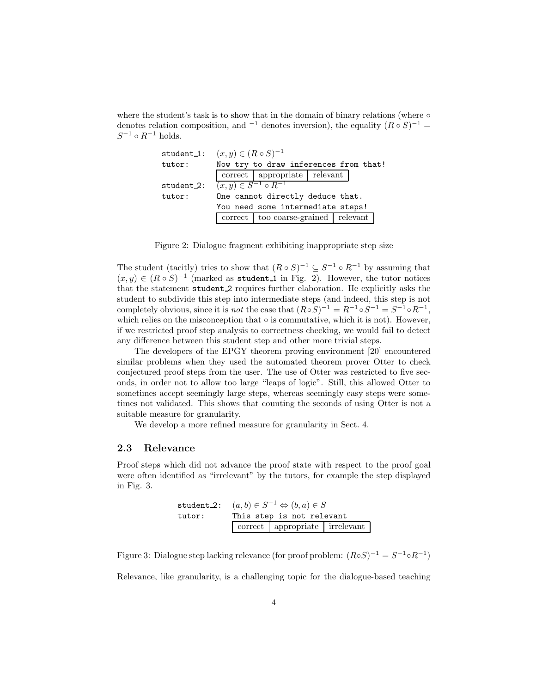where the student's task is to show that in the domain of binary relations (where  $\circ$ denotes relation composition, and <sup>-1</sup> denotes inversion), the equality  $(R \circ S)^{-1}$  =  $S^{-1} \circ R^{-1}$  holds.

| student_1: | $(x, y) \in (R \circ S)^{-1}$         |                                         |  |  |  |  |
|------------|---------------------------------------|-----------------------------------------|--|--|--|--|
| tutor:     | Now try to draw inferences from that! |                                         |  |  |  |  |
|            |                                       | correct   appropriate   relevant        |  |  |  |  |
| student 2: | $(x, y) \in S^{-1} \circ R^{-1}$      |                                         |  |  |  |  |
| tutor:     | One cannot directly deduce that.      |                                         |  |  |  |  |
|            | You need some intermediate steps!     |                                         |  |  |  |  |
|            |                                       | correct   too coarse-grained   relevant |  |  |  |  |

Figure 2: Dialogue fragment exhibiting inappropriate step size

The student (tacitly) tries to show that  $(R \circ S)^{-1} \subseteq S^{-1} \circ R^{-1}$  by assuming that  $(x, y) \in (R \circ S)^{-1}$  (marked as student 1 in Fig. 2). However, the tutor notices that the statement student 2 requires further elaboration. He explicitly asks the student to subdivide this step into intermediate steps (and indeed, this step is not completely obvious, since it is *not* the case that  $(R \circ S)^{-1} = R^{-1} \circ S^{-1} = S^{-1} \circ R^{-1}$ , which relies on the misconception that  $\circ$  is commutative, which it is not). However, if we restricted proof step analysis to correctness checking, we would fail to detect any difference between this student step and other more trivial steps.

The developers of the EPGY theorem proving environment [20] encountered similar problems when they used the automated theorem prover Otter to check conjectured proof steps from the user. The use of Otter was restricted to five seconds, in order not to allow too large "leaps of logic". Still, this allowed Otter to sometimes accept seemingly large steps, whereas seemingly easy steps were sometimes not validated. This shows that counting the seconds of using Otter is not a suitable measure for granularity.

We develop a more refined measure for granularity in Sect. 4.

#### 2.3 Relevance

Proof steps which did not advance the proof state with respect to the proof goal were often identified as "irrelevant" by the tutors, for example the step displayed in Fig. 3.

| student 2: $(a, b) \in S^{-1} \Leftrightarrow (b, a) \in S$ |                           |                                |  |  |  |  |
|-------------------------------------------------------------|---------------------------|--------------------------------|--|--|--|--|
| tutor:                                                      | This step is not relevant |                                |  |  |  |  |
|                                                             |                           | correct appropriate irrelevant |  |  |  |  |

Figure 3: Dialogue step lacking relevance (for proof problem:  $(R \circ S)^{-1} = S^{-1} \circ R^{-1}$ )

Relevance, like granularity, is a challenging topic for the dialogue-based teaching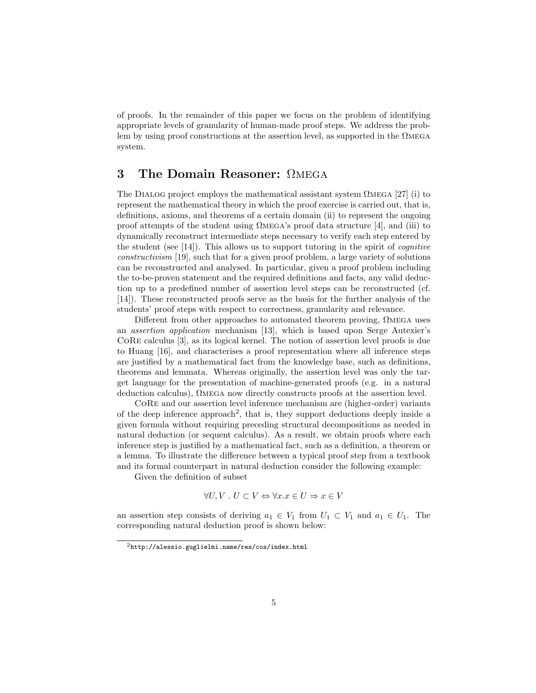of proofs. In the remainder of this paper we focus on the problem of identifying appropriate levels of granularity of human-made proof steps. We address the problem by using proof constructions at the assertion level, as supported in the Ωmega system.

### 3 The Domain Reasoner: ΩMEGA

The DIALOG project employs the mathematical assistant system  $\Omega_{\text{MEGA}}$  [27] (i) to represent the mathematical theory in which the proof exercise is carried out, that is, definitions, axioms, and theorems of a certain domain (ii) to represent the ongoing proof attempts of the student using Ωmega's proof data structure [4], and (iii) to dynamically reconstruct intermediate steps necessary to verify each step entered by the student (see  $[14]$ ). This allows us to support tutoring in the spirit of *cognitive* constructivism [19], such that for a given proof problem, a large variety of solutions can be reconstructed and analysed. In particular, given a proof problem including the to-be-proven statement and the required definitions and facts, any valid deduction up to a predefined number of assertion level steps can be reconstructed (cf. [14]). These reconstructed proofs serve as the basis for the further analysis of the students' proof steps with respect to correctness, granularity and relevance.

Different from other approaches to automated theorem proving,  $\Omega$ MEGA uses an assertion application mechanism [13], which is based upon Serge Autexier's CoRe calculus [3], as its logical kernel. The notion of assertion level proofs is due to Huang [16], and characterises a proof representation where all inference steps are justified by a mathematical fact from the knowledge base, such as definitions, theorems and lemmata. Whereas originally, the assertion level was only the target language for the presentation of machine-generated proofs (e.g. in a natural deduction calculus), Ωmega now directly constructs proofs at the assertion level.

CoRe and our assertion level inference mechanism are (higher-order) variants of the deep inference approach<sup>2</sup>, that is, they support deductions deeply inside a given formula without requiring preceding structural decompositions as needed in natural deduction (or sequent calculus). As a result, we obtain proofs where each inference step is justified by a mathematical fact, such as a definition, a theorem or a lemma. To illustrate the difference between a typical proof step from a textbook and its formal counterpart in natural deduction consider the following example:

Given the definition of subset

$$
\forall U, V \, \ldots \, U \subset V \Leftrightarrow \forall x. x \in U \Rightarrow x \in V
$$

an assertion step consists of deriving  $a_1 \in V_1$  from  $U_1 \subset V_1$  and  $a_1 \in U_1$ . The corresponding natural deduction proof is shown below:

<sup>2</sup>http://alessio.guglielmi.name/res/cos/index.html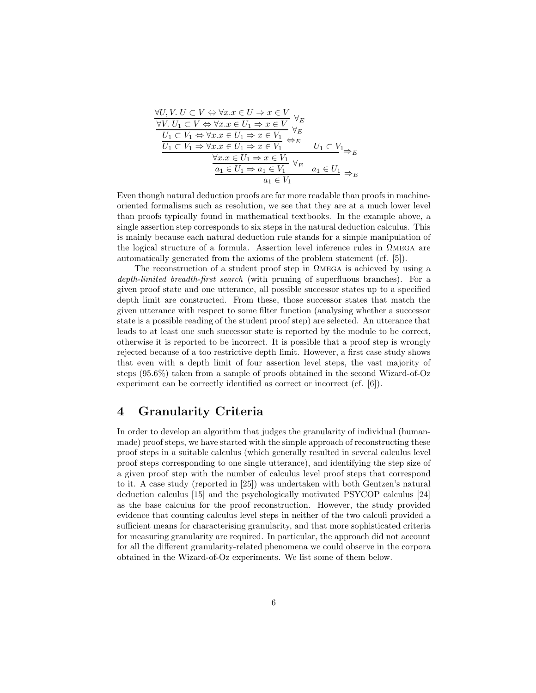$$
\forall U, V. U \subset V \Leftrightarrow \forall x. x \in U \Rightarrow x \in V
$$
  
\n
$$
\forall V. U_1 \subset V \Leftrightarrow \forall x. x \in U_1 \Rightarrow x \in V
$$
  
\n
$$
\frac{U_1 \subset V_1 \Leftrightarrow \forall x. x \in U_1 \Rightarrow x \in V_1 \quad \forall E}{U_1 \subset V_1 \Rightarrow \forall x. x \in U_1 \Rightarrow x \in V_1 \quad \Leftrightarrow E}
$$
  
\n
$$
\frac{\forall x. x \in U_1 \Rightarrow x \in V_1 \quad \forall E \quad U_1 \subset V_1 \Rightarrow E}{a_1 \in U_1 \Rightarrow a_1 \in V_1 \quad \forall E \quad a_1 \in U_1 \Rightarrow E}
$$

Even though natural deduction proofs are far more readable than proofs in machineoriented formalisms such as resolution, we see that they are at a much lower level than proofs typically found in mathematical textbooks. In the example above, a single assertion step corresponds to six steps in the natural deduction calculus. This is mainly because each natural deduction rule stands for a simple manipulation of the logical structure of a formula. Assertion level inference rules in Ωmega are automatically generated from the axioms of the problem statement (cf. [5]).

The reconstruction of a student proof step in  $\Omega$ MEGA is achieved by using a depth-limited breadth-first search (with pruning of superfluous branches). For a given proof state and one utterance, all possible successor states up to a specified depth limit are constructed. From these, those successor states that match the given utterance with respect to some filter function (analysing whether a successor state is a possible reading of the student proof step) are selected. An utterance that leads to at least one such successor state is reported by the module to be correct, otherwise it is reported to be incorrect. It is possible that a proof step is wrongly rejected because of a too restrictive depth limit. However, a first case study shows that even with a depth limit of four assertion level steps, the vast majority of steps (95.6%) taken from a sample of proofs obtained in the second Wizard-of-Oz experiment can be correctly identified as correct or incorrect (cf. [6]).

### 4 Granularity Criteria

In order to develop an algorithm that judges the granularity of individual (humanmade) proof steps, we have started with the simple approach of reconstructing these proof steps in a suitable calculus (which generally resulted in several calculus level proof steps corresponding to one single utterance), and identifying the step size of a given proof step with the number of calculus level proof steps that correspond to it. A case study (reported in [25]) was undertaken with both Gentzen's natural deduction calculus [15] and the psychologically motivated PSYCOP calculus [24] as the base calculus for the proof reconstruction. However, the study provided evidence that counting calculus level steps in neither of the two calculi provided a sufficient means for characterising granularity, and that more sophisticated criteria for measuring granularity are required. In particular, the approach did not account for all the different granularity-related phenomena we could observe in the corpora obtained in the Wizard-of-Oz experiments. We list some of them below.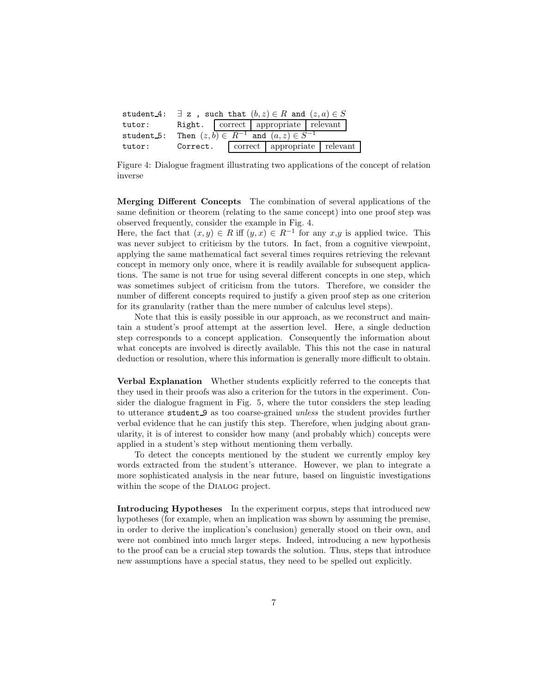|        | student 4: $\exists z$ , such that $(b, z) \in R$ and $(z, a) \in S$ |  |  |                                  |  |  |  |
|--------|----------------------------------------------------------------------|--|--|----------------------------------|--|--|--|
| tutor: | Right.   correct   appropriate   relevant                            |  |  |                                  |  |  |  |
|        | student 5: Then $(z, b) \in R^{-1}$ and $(a, z) \in S^{-1}$          |  |  |                                  |  |  |  |
| tutor: | Correct.                                                             |  |  | correct   appropriate   relevant |  |  |  |

Figure 4: Dialogue fragment illustrating two applications of the concept of relation inverse

Merging Different Concepts The combination of several applications of the same definition or theorem (relating to the same concept) into one proof step was observed frequently, consider the example in Fig. 4.

Here, the fact that  $(x, y) \in R$  iff  $(y, x) \in R^{-1}$  for any  $x, y$  is applied twice. This was never subject to criticism by the tutors. In fact, from a cognitive viewpoint, applying the same mathematical fact several times requires retrieving the relevant concept in memory only once, where it is readily available for subsequent applications. The same is not true for using several different concepts in one step, which was sometimes subject of criticism from the tutors. Therefore, we consider the number of different concepts required to justify a given proof step as one criterion for its granularity (rather than the mere number of calculus level steps).

Note that this is easily possible in our approach, as we reconstruct and maintain a student's proof attempt at the assertion level. Here, a single deduction step corresponds to a concept application. Consequently the information about what concepts are involved is directly available. This this not the case in natural deduction or resolution, where this information is generally more difficult to obtain.

Verbal Explanation Whether students explicitly referred to the concepts that they used in their proofs was also a criterion for the tutors in the experiment. Consider the dialogue fragment in Fig. 5, where the tutor considers the step leading to utterance student 9 as too coarse-grained unless the student provides further verbal evidence that he can justify this step. Therefore, when judging about granularity, it is of interest to consider how many (and probably which) concepts were applied in a student's step without mentioning them verbally.

To detect the concepts mentioned by the student we currently employ key words extracted from the student's utterance. However, we plan to integrate a more sophisticated analysis in the near future, based on linguistic investigations within the scope of the Dialog project.

Introducing Hypotheses In the experiment corpus, steps that introduced new hypotheses (for example, when an implication was shown by assuming the premise, in order to derive the implication's conclusion) generally stood on their own, and were not combined into much larger steps. Indeed, introducing a new hypothesis to the proof can be a crucial step towards the solution. Thus, steps that introduce new assumptions have a special status, they need to be spelled out explicitly.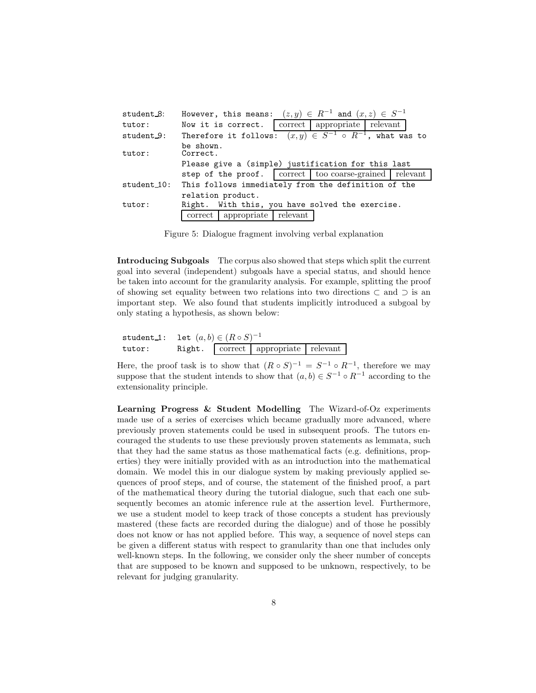| student 8:  | However, this means: $(z, y) \in R^{-1}$ and $(x, z) \in S^{-1}$ |                    |          |                                                                    |  |  |
|-------------|------------------------------------------------------------------|--------------------|----------|--------------------------------------------------------------------|--|--|
| tutor:      |                                                                  | Now it is correct. |          | correct   appropriate   relevant                                   |  |  |
| student 9:  |                                                                  |                    |          | Therefore it follows: $(x, y) \in S^{-1}$ o $R^{-1}$ , what was to |  |  |
| tutor:      | be shown.<br>Correct.                                            |                    |          |                                                                    |  |  |
|             | Please give a (simple) justification for this last               |                    |          |                                                                    |  |  |
|             |                                                                  |                    |          | step of the proof.   correct   too coarse-grained   relevant       |  |  |
| student_10: | This follows immediately from the definition of the              |                    |          |                                                                    |  |  |
|             | relation product.                                                |                    |          |                                                                    |  |  |
| tutor:      | Right. With this, you have solved the exercise.                  |                    |          |                                                                    |  |  |
|             | correct                                                          | appropriate        | relevant |                                                                    |  |  |

Figure 5: Dialogue fragment involving verbal explanation

Introducing Subgoals The corpus also showed that steps which split the current goal into several (independent) subgoals have a special status, and should hence be taken into account for the granularity analysis. For example, splitting the proof of showing set equality between two relations into two directions ⊂ and ⊃ is an important step. We also found that students implicitly introduced a subgoal by only stating a hypothesis, as shown below:

|        | $\tt student_1: \quad \t\t\t let \, \, (a,b) \in (R \circ S)^{-1} \, .$ |  |                                     |  |  |
|--------|-------------------------------------------------------------------------|--|-------------------------------------|--|--|
| tutor: |                                                                         |  | Right. correct appropriate relevant |  |  |

Here, the proof task is to show that  $(R \circ S)^{-1} = S^{-1} \circ R^{-1}$ , therefore we may suppose that the student intends to show that  $(a, b) \in S^{-1} \circ R^{-1}$  according to the extensionality principle.

Learning Progress & Student Modelling The Wizard-of-Oz experiments made use of a series of exercises which became gradually more advanced, where previously proven statements could be used in subsequent proofs. The tutors encouraged the students to use these previously proven statements as lemmata, such that they had the same status as those mathematical facts (e.g. definitions, properties) they were initially provided with as an introduction into the mathematical domain. We model this in our dialogue system by making previously applied sequences of proof steps, and of course, the statement of the finished proof, a part of the mathematical theory during the tutorial dialogue, such that each one subsequently becomes an atomic inference rule at the assertion level. Furthermore, we use a student model to keep track of those concepts a student has previously mastered (these facts are recorded during the dialogue) and of those he possibly does not know or has not applied before. This way, a sequence of novel steps can be given a different status with respect to granularity than one that includes only well-known steps. In the following, we consider only the sheer number of concepts that are supposed to be known and supposed to be unknown, respectively, to be relevant for judging granularity.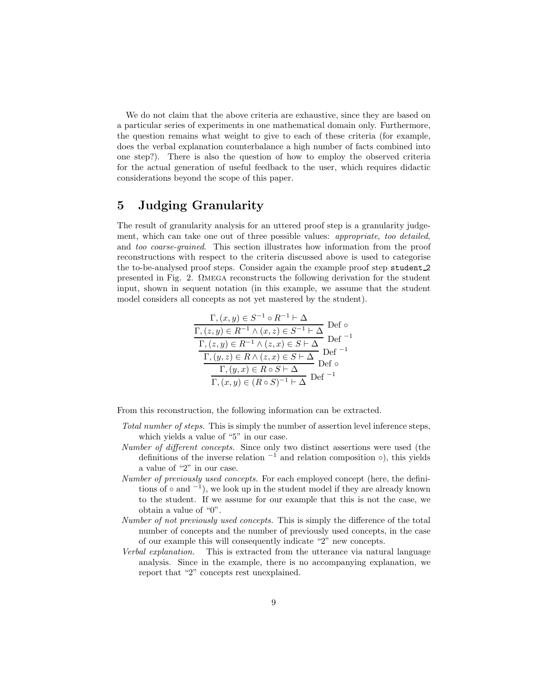We do not claim that the above criteria are exhaustive, since they are based on a particular series of experiments in one mathematical domain only. Furthermore, the question remains what weight to give to each of these criteria (for example, does the verbal explanation counterbalance a high number of facts combined into one step?). There is also the question of how to employ the observed criteria for the actual generation of useful feedback to the user, which requires didactic considerations beyond the scope of this paper.

### 5 Judging Granularity

The result of granularity analysis for an uttered proof step is a granularity judgement, which can take one out of three possible values: appropriate, too detailed, and too coarse-grained. This section illustrates how information from the proof reconstructions with respect to the criteria discussed above is used to categorise the to-be-analysed proof steps. Consider again the example proof step student 2 presented in Fig. 2. Ωmega reconstructs the following derivation for the student input, shown in sequent notation (in this example, we assume that the student model considers all concepts as not yet mastered by the student).

$$
\frac{\Gamma,(x,y) \in S^{-1} \circ R^{-1} \vdash \Delta}{\Gamma,(z,y) \in R^{-1} \land (x,z) \in S^{-1} \vdash \Delta} \text{ Def } \circ
$$
\n
$$
\frac{\Gamma,(z,y) \in R^{-1} \land (z,x) \in S \vdash \Delta}{\Gamma,(y,z) \in R \land (z,x) \in S \vdash \Delta} \text{ Def }^{-1}
$$
\n
$$
\frac{\Gamma,(y,z) \in R \land (z,x) \in S \vdash \Delta}{\Gamma,(y,x) \in R \circ S \vdash \Delta} \text{ Def }^{-1}
$$
\n
$$
\frac{\Gamma,(x,y) \in (R \circ S)^{-1} \vdash \Delta}{\Gamma}(x,y) \text{ of } R^{-1}
$$

From this reconstruction, the following information can be extracted.

- Total number of steps. This is simply the number of assertion level inference steps, which yields a value of "5" in our case.
- Number of different concepts. Since only two distinct assertions were used (the definitions of the inverse relation  $-1$  and relation composition  $\circ$ ), this yields a value of "2" in our case.
- Number of previously used concepts. For each employed concept (here, the definitions of  $\circ$  and  $^{-1}$ ), we look up in the student model if they are already known to the student. If we assume for our example that this is not the case, we obtain a value of "0".
- Number of not previously used concepts. This is simply the difference of the total number of concepts and the number of previously used concepts, in the case of our example this will consequently indicate "2" new concepts.
- Verbal explanation. This is extracted from the utterance via natural language analysis. Since in the example, there is no accompanying explanation, we report that "2" concepts rest unexplained.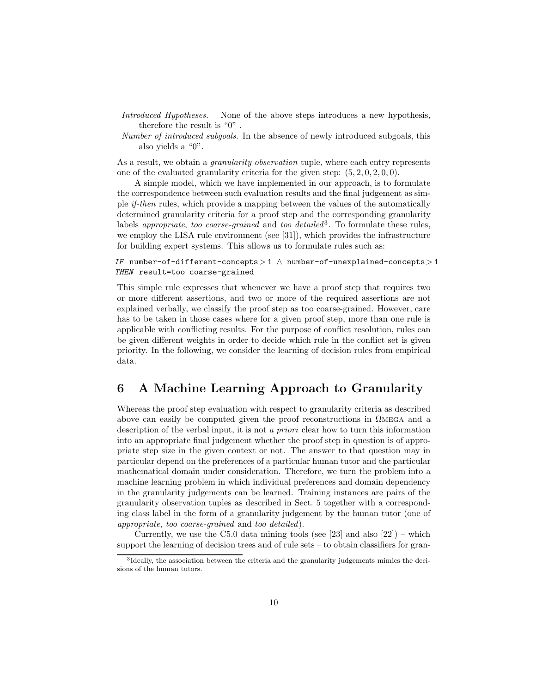- Introduced Hypotheses. None of the above steps introduces a new hypothesis, therefore the result is "0" .
- Number of introduced subgoals. In the absence of newly introduced subgoals, this also yields a "0".

As a result, we obtain a *granularity observation* tuple, where each entry represents one of the evaluated granularity criteria for the given step:  $(5, 2, 0, 2, 0, 0)$ .

A simple model, which we have implemented in our approach, is to formulate the correspondence between such evaluation results and the final judgement as simple if-then rules, which provide a mapping between the values of the automatically determined granularity criteria for a proof step and the corresponding granularity labels *appropriate*, too coarse-grained and too detailed<sup>3</sup>. To formulate these rules, we employ the LISA rule environment (see [31]), which provides the infrastructure for building expert systems. This allows us to formulate rules such as:

#### IF number-of-different-concepts > 1  $\land$  number-of-unexplained-concepts > 1 THEN result=too coarse-grained

This simple rule expresses that whenever we have a proof step that requires two or more different assertions, and two or more of the required assertions are not explained verbally, we classify the proof step as too coarse-grained. However, care has to be taken in those cases where for a given proof step, more than one rule is applicable with conflicting results. For the purpose of conflict resolution, rules can be given different weights in order to decide which rule in the conflict set is given priority. In the following, we consider the learning of decision rules from empirical data.

### 6 A Machine Learning Approach to Granularity

Whereas the proof step evaluation with respect to granularity criteria as described above can easily be computed given the proof reconstructions in  $\Omega$ MEGA and a description of the verbal input, it is not a priori clear how to turn this information into an appropriate final judgement whether the proof step in question is of appropriate step size in the given context or not. The answer to that question may in particular depend on the preferences of a particular human tutor and the particular mathematical domain under consideration. Therefore, we turn the problem into a machine learning problem in which individual preferences and domain dependency in the granularity judgements can be learned. Training instances are pairs of the granularity observation tuples as described in Sect. 5 together with a corresponding class label in the form of a granularity judgement by the human tutor (one of appropriate, too coarse-grained and too detailed).

Currently, we use the C5.0 data mining tools (see [23] and also  $[22]$ ) – which support the learning of decision trees and of rule sets – to obtain classifiers for gran-

<sup>&</sup>lt;sup>3</sup>Ideally, the association between the criteria and the granularity judgements mimics the decisions of the human tutors.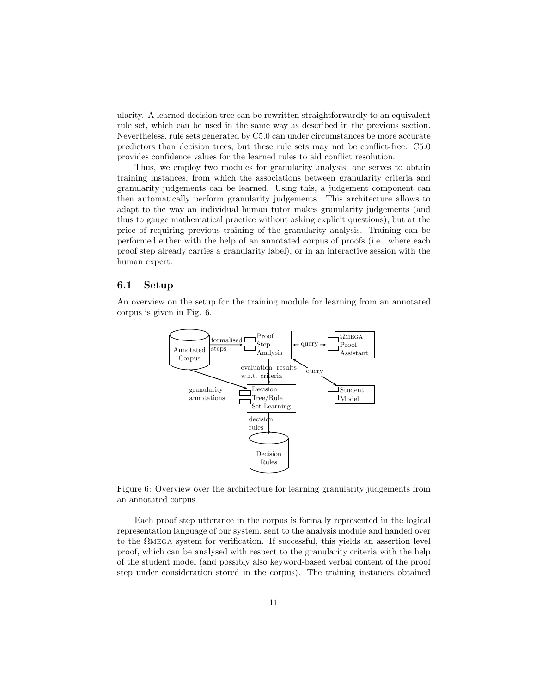ularity. A learned decision tree can be rewritten straightforwardly to an equivalent rule set, which can be used in the same way as described in the previous section. Nevertheless, rule sets generated by C5.0 can under circumstances be more accurate predictors than decision trees, but these rule sets may not be conflict-free. C5.0 provides confidence values for the learned rules to aid conflict resolution.

Thus, we employ two modules for granularity analysis; one serves to obtain training instances, from which the associations between granularity criteria and granularity judgements can be learned. Using this, a judgement component can then automatically perform granularity judgements. This architecture allows to adapt to the way an individual human tutor makes granularity judgements (and thus to gauge mathematical practice without asking explicit questions), but at the price of requiring previous training of the granularity analysis. Training can be performed either with the help of an annotated corpus of proofs (i.e., where each proof step already carries a granularity label), or in an interactive session with the human expert.

#### 6.1 Setup

An overview on the setup for the training module for learning from an annotated corpus is given in Fig. 6.



Figure 6: Overview over the architecture for learning granularity judgements from an annotated corpus

Each proof step utterance in the corpus is formally represented in the logical representation language of our system, sent to the analysis module and handed over to the  $\Omega$ MEGA system for verification. If successful, this yields an assertion level proof, which can be analysed with respect to the granularity criteria with the help of the student model (and possibly also keyword-based verbal content of the proof step under consideration stored in the corpus). The training instances obtained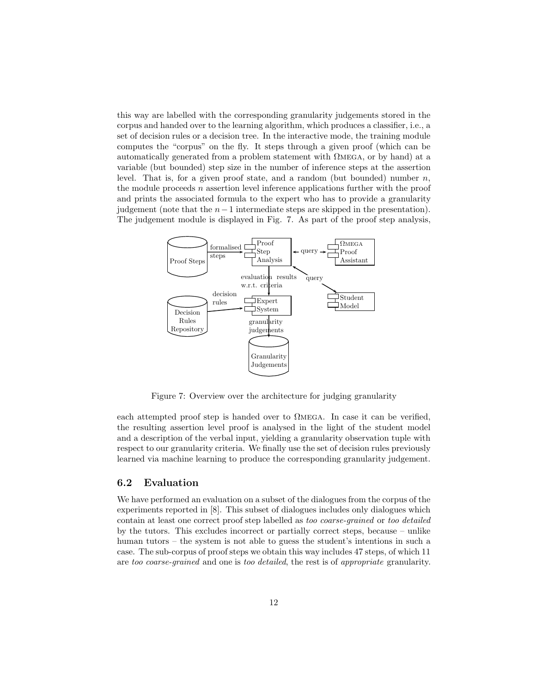this way are labelled with the corresponding granularity judgements stored in the corpus and handed over to the learning algorithm, which produces a classifier, i.e., a set of decision rules or a decision tree. In the interactive mode, the training module computes the "corpus" on the fly. It steps through a given proof (which can be automatically generated from a problem statement with Ωmega, or by hand) at a variable (but bounded) step size in the number of inference steps at the assertion level. That is, for a given proof state, and a random (but bounded) number  $n$ , the module proceeds  $n$  assertion level inference applications further with the proof and prints the associated formula to the expert who has to provide a granularity judgement (note that the  $n-1$  intermediate steps are skipped in the presentation). The judgement module is displayed in Fig. 7. As part of the proof step analysis,



Figure 7: Overview over the architecture for judging granularity

each attempted proof step is handed over to Ωmega. In case it can be verified, the resulting assertion level proof is analysed in the light of the student model and a description of the verbal input, yielding a granularity observation tuple with respect to our granularity criteria. We finally use the set of decision rules previously learned via machine learning to produce the corresponding granularity judgement.

#### 6.2 Evaluation

We have performed an evaluation on a subset of the dialogues from the corpus of the experiments reported in [8]. This subset of dialogues includes only dialogues which contain at least one correct proof step labelled as too coarse-grained or too detailed by the tutors. This excludes incorrect or partially correct steps, because – unlike human tutors – the system is not able to guess the student's intentions in such a case. The sub-corpus of proof steps we obtain this way includes 47 steps, of which 11 are too coarse-grained and one is too detailed, the rest is of appropriate granularity.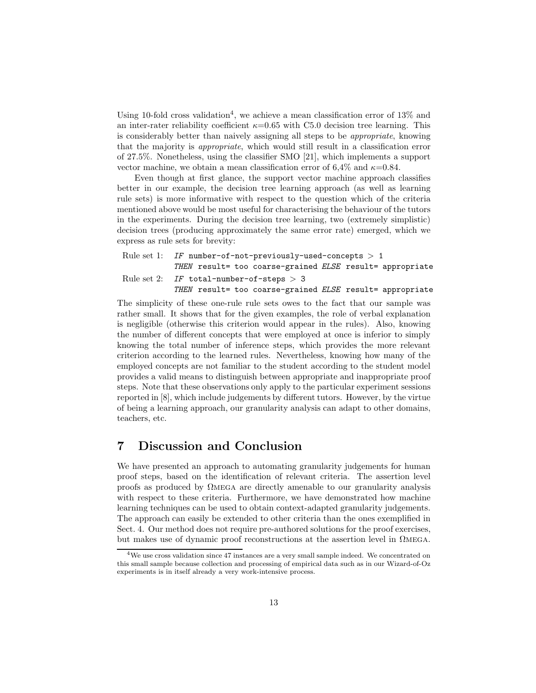Using 10-fold cross validation<sup>4</sup>, we achieve a mean classification error of  $13\%$  and an inter-rater reliability coefficient  $\kappa=0.65$  with C5.0 decision tree learning. This is considerably better than naively assigning all steps to be appropriate, knowing that the majority is appropriate, which would still result in a classification error of 27.5%. Nonetheless, using the classifier SMO [21], which implements a support vector machine, we obtain a mean classification error of 6,4% and  $\kappa$ =0.84.

Even though at first glance, the support vector machine approach classifies better in our example, the decision tree learning approach (as well as learning rule sets) is more informative with respect to the question which of the criteria mentioned above would be most useful for characterising the behaviour of the tutors in the experiments. During the decision tree learning, two (extremely simplistic) decision trees (producing approximately the same error rate) emerged, which we express as rule sets for brevity:

```
Rule set 1: IF number-of-not-previously-used-concepts > 1THEN result= too coarse-grained ELSE result= appropriate
Rule set 2: IF total-number-of-steps > 3THEN result= too coarse-grained ELSE result= appropriate
```
The simplicity of these one-rule rule sets owes to the fact that our sample was rather small. It shows that for the given examples, the role of verbal explanation is negligible (otherwise this criterion would appear in the rules). Also, knowing the number of different concepts that were employed at once is inferior to simply knowing the total number of inference steps, which provides the more relevant criterion according to the learned rules. Nevertheless, knowing how many of the employed concepts are not familiar to the student according to the student model provides a valid means to distinguish between appropriate and inappropriate proof steps. Note that these observations only apply to the particular experiment sessions reported in [8], which include judgements by different tutors. However, by the virtue of being a learning approach, our granularity analysis can adapt to other domains, teachers, etc.

### 7 Discussion and Conclusion

We have presented an approach to automating granularity judgements for human proof steps, based on the identification of relevant criteria. The assertion level proofs as produced by  $\Omega$ MEGA are directly amenable to our granularity analysis with respect to these criteria. Furthermore, we have demonstrated how machine learning techniques can be used to obtain context-adapted granularity judgements. The approach can easily be extended to other criteria than the ones exemplified in Sect. 4. Our method does not require pre-authored solutions for the proof exercises, but makes use of dynamic proof reconstructions at the assertion level in  $\Omega_{\text{MEGA}}$ .

 $4$ We use cross validation since 47 instances are a very small sample indeed. We concentrated on this small sample because collection and processing of empirical data such as in our Wizard-of-Oz experiments is in itself already a very work-intensive process.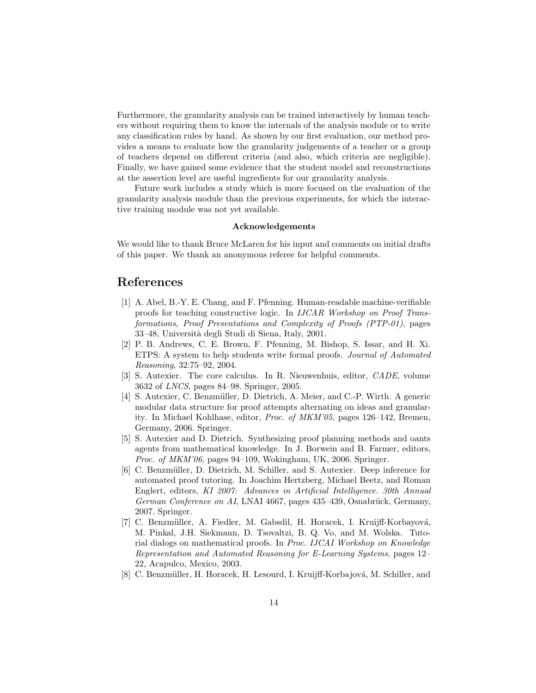Furthermore, the granularity analysis can be trained interactively by human teachers without requiring them to know the internals of the analysis module or to write any classification rules by hand. As shown by our first evaluation, our method provides a means to evaluate how the granularity judgements of a teacher or a group of teachers depend on different criteria (and also, which criteria are negligible). Finally, we have gained some evidence that the student model and reconstructions at the assertion level are useful ingredients for our granularity analysis.

Future work includes a study which is more focused on the evaluation of the granularity analysis module than the previous experiments, for which the interactive training module was not yet available.

#### Acknowledgements

We would like to thank Bruce McLaren for his input and comments on initial drafts of this paper. We thank an anonymous referee for helpful comments.

### References

- [1] A. Abel, B.-Y. E. Chang, and F. Pfenning. Human-readable machine-verifiable proofs for teaching constructive logic. In IJCAR Workshop on Proof Transformations, Proof Presentations and Complexity of Proofs (PTP-01), pages 33–48, Universit`a degli Studi di Siena, Italy, 2001.
- [2] P. B. Andrews, C. E. Brown, F. Pfenning, M. Bishop, S. Issar, and H. Xi. ETPS: A system to help students write formal proofs. Journal of Automated Reasoning, 32:75–92, 2004.
- [3] S. Autexier. The core calculus. In R. Nieuwenhuis, editor, CADE, volume 3632 of LNCS, pages 84–98. Springer, 2005.
- [4] S. Autexier, C. Benzm¨uller, D. Dietrich, A. Meier, and C.-P. Wirth. A generic modular data structure for proof attempts alternating on ideas and granularity. In Michael Kohlhase, editor, Proc. of MKM'05, pages 126–142, Bremen, Germany, 2006. Springer.
- [5] S. Autexier and D. Dietrich. Synthesizing proof planning methods and oants agents from mathematical knowledge. In J. Borwein and B. Farmer, editors, *Proc. of MKM'06*, pages  $94-109$ , Wokingham, UK, 2006. Springer.
- [6] C. Benzmüller, D. Dietrich, M. Schiller, and S. Autexier. Deep inference for automated proof tutoring. In Joachim Hertzberg, Michael Beetz, and Roman Englert, editors, KI 2007: Advances in Artificial Intelligence. 30th Annual German Conference on AI, LNAI 4667, pages 435–439, Osnabrück, Germany, 2007. Springer.
- [7] C. Benzmüller, A. Fiedler, M. Gabsdil, H. Horacek, I. Kruijff-Korbayová, M. Pinkal, J.H. Siekmann, D. Tsovaltzi, B. Q. Vo, and M. Wolska. Tutorial dialogs on mathematical proofs. In Proc. IJCAI Workshop on Knowledge Representation and Automated Reasoning for E-Learning Systems, pages 12– 22, Acapulco, Mexico, 2003.
- [8] C. Benzmüller, H. Horacek, H. Lesourd, I. Kruijff-Korbajová, M. Schiller, and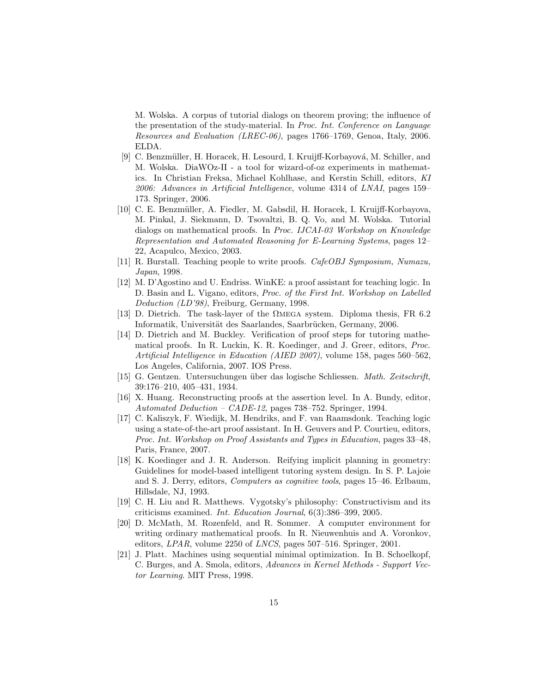M. Wolska. A corpus of tutorial dialogs on theorem proving; the influence of the presentation of the study-material. In Proc. Int. Conference on Language Resources and Evaluation (LREC-06), pages 1766–1769, Genoa, Italy, 2006. ELDA.

- [9] C. Benzmüller, H. Horacek, H. Lesourd, I. Kruijff-Korbayová, M. Schiller, and M. Wolska. DiaWOz-II - a tool for wizard-of-oz experiments in mathematics. In Christian Freksa, Michael Kohlhase, and Kerstin Schill, editors, KI 2006: Advances in Artificial Intelligence, volume 4314 of LNAI, pages 159– 173. Springer, 2006.
- [10] C. E. Benzm¨uller, A. Fiedler, M. Gabsdil, H. Horacek, I. Kruijff-Korbayova, M. Pinkal, J. Siekmann, D. Tsovaltzi, B. Q. Vo, and M. Wolska. Tutorial dialogs on mathematical proofs. In Proc. IJCAI-03 Workshop on Knowledge Representation and Automated Reasoning for E-Learning Systems, pages 12– 22, Acapulco, Mexico, 2003.
- [11] R. Burstall. Teaching people to write proofs. CafeOBJ Symposium, Numazu, Japan, 1998.
- [12] M. D'Agostino and U. Endriss. WinKE: a proof assistant for teaching logic. In D. Basin and L. Vigano, editors, Proc. of the First Int. Workshop on Labelled Deduction (LD'98), Freiburg, Germany, 1998.
- [13] D. Dietrich. The task-layer of the  $\Omega$ MEGA system. Diploma thesis, FR 6.2 Informatik, Universität des Saarlandes, Saarbrücken, Germany, 2006.
- [14] D. Dietrich and M. Buckley. Verification of proof steps for tutoring mathematical proofs. In R. Luckin, K. R. Koedinger, and J. Greer, editors, Proc. Artificial Intelligence in Education (AIED 2007), volume 158, pages 560–562, Los Angeles, California, 2007. IOS Press.
- [15] G. Gentzen. Untersuchungen über das logische Schliessen. Math. Zeitschrift, 39:176–210, 405–431, 1934.
- [16] X. Huang. Reconstructing proofs at the assertion level. In A. Bundy, editor, Automated Deduction – CADE-12, pages 738–752. Springer, 1994.
- [17] C. Kaliszyk, F. Wiedijk, M. Hendriks, and F. van Raamsdonk. Teaching logic using a state-of-the-art proof assistant. In H. Geuvers and P. Courtieu, editors, Proc. Int. Workshop on Proof Assistants and Types in Education, pages 33–48, Paris, France, 2007.
- [18] K. Koedinger and J. R. Anderson. Reifying implicit planning in geometry: Guidelines for model-based intelligent tutoring system design. In S. P. Lajoie and S. J. Derry, editors, Computers as cognitive tools, pages 15–46. Erlbaum, Hillsdale, NJ, 1993.
- [19] C. H. Liu and R. Matthews. Vygotsky's philosophy: Constructivism and its criticisms examined. Int. Education Journal, 6(3):386–399, 2005.
- [20] D. McMath, M. Rozenfeld, and R. Sommer. A computer environment for writing ordinary mathematical proofs. In R. Nieuwenhuis and A. Voronkov, editors, LPAR, volume 2250 of LNCS, pages 507–516. Springer, 2001.
- [21] J. Platt. Machines using sequential minimal optimization. In B. Schoelkopf, C. Burges, and A. Smola, editors, Advances in Kernel Methods - Support Vector Learning. MIT Press, 1998.